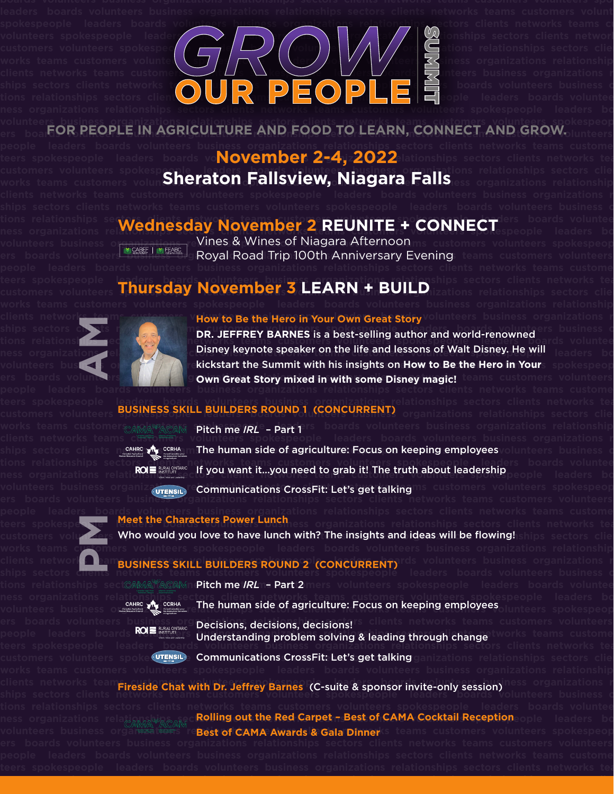**spokespeople leaders boards volunteers business organizations relationships sectors clients networks teams customers**  volunteer<u>s business organizations relationships sectors clients networks teams customers volunteers spokespeop</u>



people leaders boards volunteers business organizations relationships sectors clients networks teams custome teers spokespeople leaders boards vo**November 2-4, 2022** lationships sectors clients networks tea customers volunteers spokespeople "leaders **boards volunteers business organizatio**ns relationships sectors cliei works teams customers volun**Sheraton Fallsview, Niagara Falls** ass organizations relationship

ers boa**rder PEOPLE IN AGRICULTURE AND FOOD TO LEARN, CONNECT AND GROW.** 

## tions relationships sectors directs developed to the team team in the spokespectors boards volunteers **boards** volunteers **boards ness organizations relations and <b>Wednesday November 2 REUNITE + CONNECT** speople leaders board

volunteers business organizations of **Vines & Wines of Niagara Afternoon** ns customers volunteers spokespeop ers boards volunteers **business in the Logal Road Trip 100th Anniversary Evening** teams customers volunteers

## **teers spokespeople leaders boards volunteers business organizations relationships sectors clients networks teams**  customers volunteers Thursday November 3 LEARN + BUILD izations relationships sectors clients

**AM**

people leaders boar<del>ds volunteer</del>s business organizations relationships sectors clients networks teams custome

works teams customer<sub>CAMA</sub>S ACAM Pitch me *IRL* – Part 1 Frs boards volunteers business organizations relationship

**ers boards volunteers business organizations relationships sectors clients networks teams customers volunteers spokes**people leader<u>s board</u>s volunteers business organizations relationships sectors clients networks teams custome **works teams customers volunteers spokespeople leaders boards volunteers business organizations relationships sectors PM**

ships sectors cli<del>ents</del> networks teams customers volunteers spokespeople leaders boards volunteers business c tions relationships sect**CAMAYACAMmP<b>itch me /RL**n= Part 2 mers volunteers spokespeople leaders boards voluntee

## clients networks teams and **customers of How to Be the Hero in Your Own Great Story** volunteers business organizations r



**ships sectors comes and spokespeople leaders is a customers is a spoke spokespeople leaders business or a spoke spokespeople leaders business or a spoke of the spokespeople and world-renowned and world-renowned and world**tions relationships sectors will networks teams customers volunteers spokespeople leaders boards voluntee ness organizations all and **Disney keynote speaker on the life and lessons of Walt Disney. He will speakers boards** volunteers busing the start of **a start of the summit with his insights on How to Be the Hero in Your**s spokespeop ers boards volunteers **of the Cown Great Story mixed in with some Disney magic!** teams customers volunteers

## teers spokespeople l<u>eaders boards volunteers business organizations r</u>elationships sectors clients networks tea customers volunteers **BUSINESS SKILL BUILDERS ROUND 1 (CONCURRENT)** organizations relationships sectors cliei



ships sectors clients networks of the sum the human side of agriculture: Focus on keeping employeesvolunteers business o tions relationships sectors clients networks teams customers <u>volunteers spokespeople , lead</u>ers boards voluntee **ness organizations relations and Express teams if you want it…you need to grab it! The truth about leadership<br>If you want it was a leaders board of the truth of the truth about leadership** volunteers business organiz<sub>(UTENSL)</sub> Communications CrossFit: Let's get talking <sup>ns</sup> customers volunteers spokespeop

# teers spokespe**ople and Meet the Characters Power Lunch** ess organizations relationships sectors clients networks tea

customers volus **Zers Who would you love to have lunch with? The insights and ideas will be flowing! ships sectors clie** 

# clients network **the ambusiness skill builders ROUND 2 (CONCURRENT)** dis volunteers business organizations r

| Saduaters Alliance                          |                                                                                 |
|---------------------------------------------|---------------------------------------------------------------------------------|
| <b>AHRC</b><br>Agricultural<br>urce Council | <b>CCRHA</b><br>Conseil cenadien pour<br>les ressources humaines<br>agriculture |

**ness organizations relationships sectors clients networks teams customers volunteers spokespeople leaders boards volunteers business organize we** can the human side of agriculture: Focus on keeping employees<sub>olunteers</sub> spokespeop



ers boards volunteers busines. Decisions, decisions, decisions! <sup>Socients</sup> networks teams customers volunteers people leaders board **KUS** is the sector of **Understanding problem solving & leading through change** Works teams custome teers spokespeople leaders <u>bo</u>ards volunteers business organizations relationships sectors clients networks tea

**customers volunteers spokespeople leaders boards volunteers business organizations relationships sectors clients net-**

customers volunteers spoke(utensl.) Communications CrossFit: Let's get talking ganizations relationships sectors clie

clients networks teams world Chat with Dr. Leftray **Barnes (C-cuite & sponsor invite-only session**iness organizations r anents hetworks team **Fireside Chat with Dr. Jeffrey Barnes (C-suite & sponsor invite-only session) and sectors business or<br>Ships sectors clients here is** 

ness organizations rela<sub>gamas</sub> v<sub>agama</sub> Rolling out the Red Carpet – Best of CAMA Cocktail Reception <sub>ople</sub> leaders bo **v**olunteers business organizations re**Best of CAMA Awards & Gala Dinner**ks teams customers volunteers spokespeop